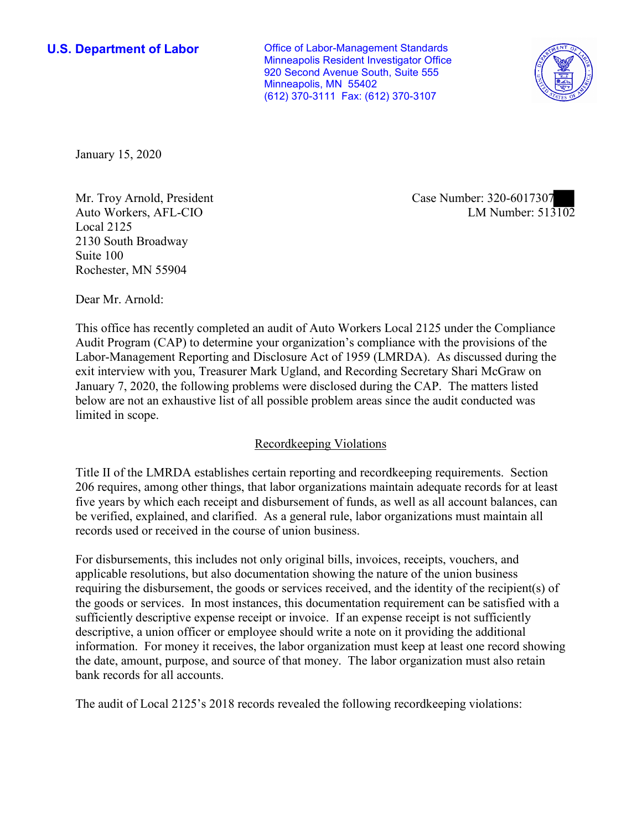**U.S. Department of Labor Conservative Conservative Conservative Conservative U.S.** Department of Labor Minneapolis Resident Investigator Office 920 Second Avenue South, Suite 555 Minneapolis, MN 55402 (612) 370-3111 Fax: (612) 370-3107



January 15, 2020

Mr. Troy Arnold, President Case Number: 320-6017307 Auto Workers, AFL-CIO Local 2125 2130 South Broadway Suite 100 Rochester, MN 55904

LM Number:  $513\overline{102}$ 

Dear Mr. Arnold:

 This office has recently completed an audit of Auto Workers Local 2125 under the Compliance Audit Program (CAP) to determine your organization's compliance with the provisions of the Labor-Management Reporting and Disclosure Act of 1959 (LMRDA). As discussed during the exit interview with you, Treasurer Mark Ugland, and Recording Secretary Shari McGraw on January 7, 2020, the following problems were disclosed during the CAP. The matters listed below are not an exhaustive list of all possible problem areas since the audit conducted was limited in scope.

## Recordkeeping Violations

 Title II of the LMRDA establishes certain reporting and recordkeeping requirements. Section 206 requires, among other things, that labor organizations maintain adequate records for at least five years by which each receipt and disbursement of funds, as well as all account balances, can be verified, explained, and clarified. As a general rule, labor organizations must maintain all records used or received in the course of union business.

For disbursements, this includes not only original bills, invoices, receipts, vouchers, and applicable resolutions, but also documentation showing the nature of the union business requiring the disbursement, the goods or services received, and the identity of the recipient(s) of the goods or services. In most instances, this documentation requirement can be satisfied with a sufficiently descriptive expense receipt or invoice. If an expense receipt is not sufficiently descriptive, a union officer or employee should write a note on it providing the additional information. For money it receives, the labor organization must keep at least one record showing the date, amount, purpose, and source of that money. The labor organization must also retain bank records for all accounts.

The audit of Local 2125's 2018 records revealed the following recordkeeping violations: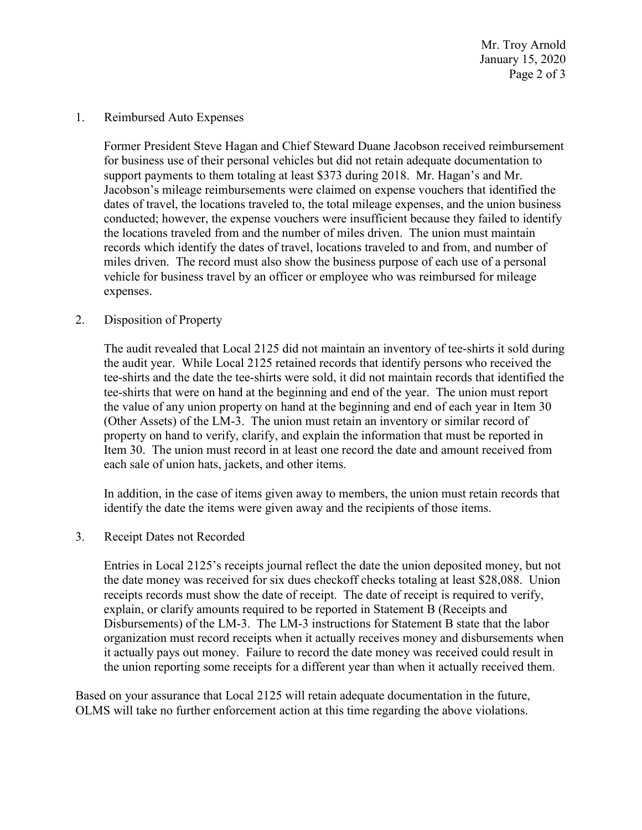January 15, 2020 Page 2 of 3 Mr. Troy Arnold

1. Reimbursed Auto Expenses

 for business use of their personal vehicles but did not retain adequate documentation to miles driven. The record must also show the business purpose of each use of a personal Former President Steve Hagan and Chief Steward Duane Jacobson received reimbursement support payments to them totaling at least \$373 during 2018. Mr. Hagan's and Mr. Jacobson's mileage reimbursements were claimed on expense vouchers that identified the dates of travel, the locations traveled to, the total mileage expenses, and the union business conducted; however, the expense vouchers were insufficient because they failed to identify the locations traveled from and the number of miles driven. The union must maintain records which identify the dates of travel, locations traveled to and from, and number of vehicle for business travel by an officer or employee who was reimbursed for mileage expenses.

## 2. Disposition of Property

 the audit year. While Local 2125 retained records that identify persons who received the (Other Assets) of the LM-3. The union must retain an inventory or similar record of each sale of union hats, jackets, and other items. The audit revealed that Local 2125 did not maintain an inventory of tee-shirts it sold during tee-shirts and the date the tee-shirts were sold, it did not maintain records that identified the tee-shirts that were on hand at the beginning and end of the year. The union must report the value of any union property on hand at the beginning and end of each year in Item 30 property on hand to verify, clarify, and explain the information that must be reported in Item 30. The union must record in at least one record the date and amount received from

 identify the date the items were given away and the recipients of those items. In addition, in the case of items given away to members, the union must retain records that

3. Receipt Dates not Recorded

 Disbursements) of the LM-3. The LM-3 instructions for Statement B state that the labor it actually pays out money. Failure to record the date money was received could result in Entries in Local 2125's receipts journal reflect the date the union deposited money, but not the date money was received for six dues checkoff checks totaling at least \$28,088. Union receipts records must show the date of receipt. The date of receipt is required to verify, explain, or clarify amounts required to be reported in Statement B (Receipts and organization must record receipts when it actually receives money and disbursements when the union reporting some receipts for a different year than when it actually received them.

 Based on your assurance that Local 2125 will retain adequate documentation in the future, OLMS will take no further enforcement action at this time regarding the above violations.